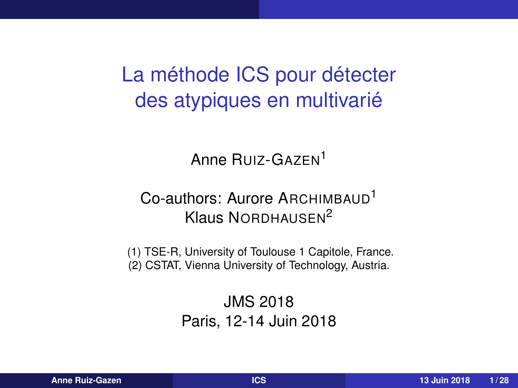<span id="page-0-0"></span>La méthode ICS pour détecter des atypiques en multivarié

Anne RUIZ-GAZEN<sup>1</sup>

### Co-authors: Aurore ARCHIMBAUD<sup>1</sup> Klaus NORDHAUSEN<sup>2</sup>

(1) TSE-R, University of Toulouse 1 Capitole, France. (2) CSTAT, Vienna University of Technology, Austria.

> JMS 2018 Paris, 12-14 Juin 2018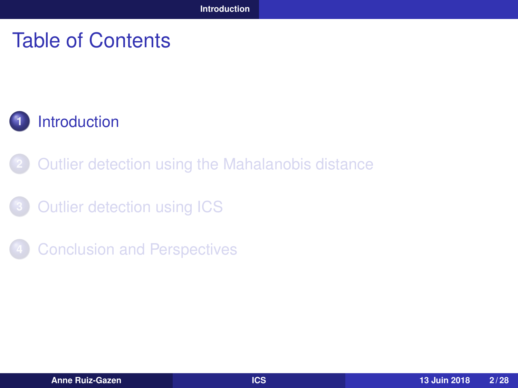### <span id="page-1-0"></span>Table of Contents



- **2** [Outlier detection using the Mahalanobis distance](#page-3-0)
- **3** [Outlier detection using ICS](#page-10-0)
- **4** [Conclusion and Perspectives](#page-26-0)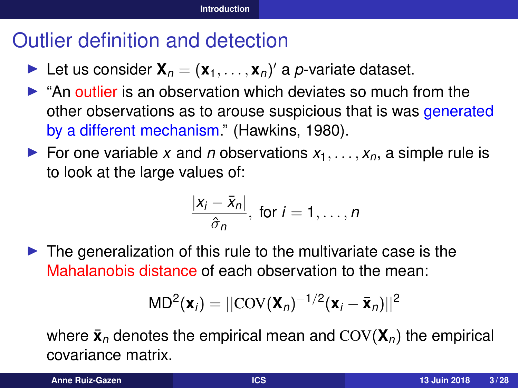# Outlier definition and detection

- **I** Let us consider  $\mathbf{X}_n = (\mathbf{x}_1, \dots, \mathbf{x}_n)'$  a *p*-variate dataset.
- $\triangleright$  "An outlier is an observation which deviates so much from the other observations as to arouse suspicious that is was generated by a different mechanism." (Hawkins, 1980).
- For one variable *x* and *n* observations  $x_1, \ldots, x_n$ , a simple rule is to look at the large values of:

$$
\frac{|x_i-\bar{x}_n|}{\hat{\sigma}_n}, \text{ for } i=1,\ldots,n
$$

 $\triangleright$  The generalization of this rule to the multivariate case is the Mahalanobis distance of each observation to the mean:

$$
MD^2(\mathbf{x}_i) = ||COV(\mathbf{X}_n)^{-1/2}(\mathbf{x}_i - \bar{\mathbf{x}}_n)||^2
$$

where  $\bar{\mathbf{x}}_n$  denotes the empirical mean and  $COV(\mathbf{X}_n)$  the empirical covariance matrix.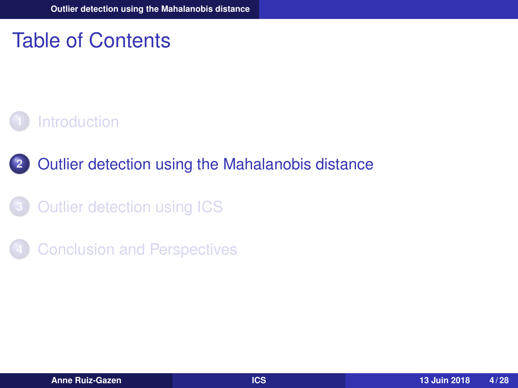## <span id="page-3-0"></span>Table of Contents

### **1** [Introduction](#page-1-0)

### **2** [Outlier detection using the Mahalanobis distance](#page-3-0)

- **3** [Outlier detection using ICS](#page-10-0)
- **4** [Conclusion and Perspectives](#page-26-0)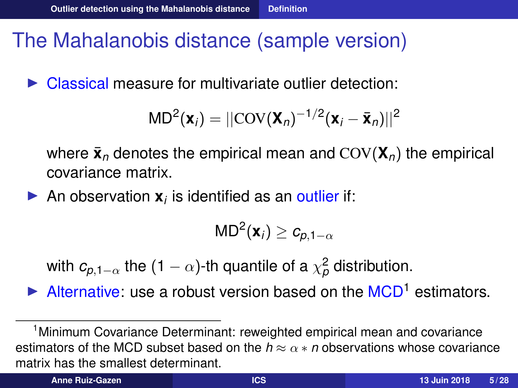## <span id="page-4-0"></span>The Mahalanobis distance (sample version)

 $\triangleright$  Classical measure for multivariate outlier detection:

$$
MD2(\mathbf{x}_i) = ||COV(\mathbf{X}_n)^{-1/2}(\mathbf{x}_i - \bar{\mathbf{x}}_n)||^2
$$

where  $\bar{\mathbf{x}}_n$  denotes the empirical mean and  $COV(\mathbf{X}_n)$  the empirical covariance matrix.

An observation  $x_i$  is identified as an outlier if:

$$
\mathsf{MD}^2(\mathbf{x}_i) \geq c_{p,1-\alpha}
$$

with  $c_{\rho,1-\alpha}$  the (1 –  $\alpha$ )-th quantile of a  $\chi^2_\rho$  distribution.

 $\blacktriangleright$  Alternative: use a robust version based on the MCD<sup>1</sup> estimators.

<sup>1</sup>Minimum Covariance Determinant: reweighted empirical mean and covariance estimators of the MCD subset based on the  $h \approx \alpha * n$  observations whose covariance matrix has the smallest determinant.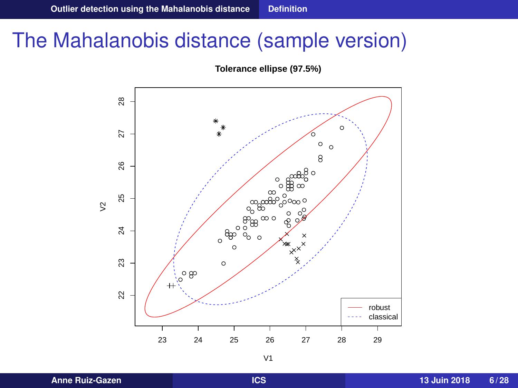### The Mahalanobis distance (sample version)

**Tolerance ellipse (97.5%)**

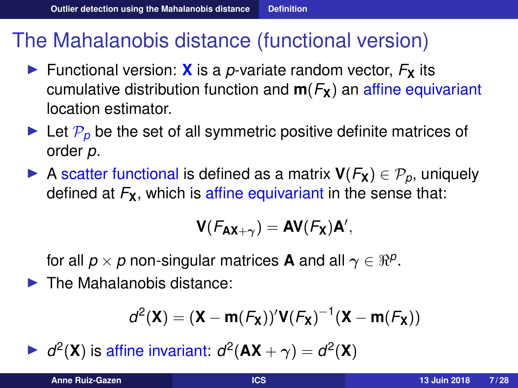## The Mahalanobis distance (functional version)

- $\triangleright$  Functional version: **X** is a *p*-variate random vector,  $F_{\mathbf{X}}$  its cumulative distribution function and  $m(F_X)$  an affine equivariant location estimator.
- $\blacktriangleright$  Let  $\mathcal{P}_p$  be the set of all symmetric positive definite matrices of order *p*.
- ▶ A scatter functional is defined as a matrix  $V(F_X) \in \mathcal{P}_p$ , uniquely defined at  $F_{\mathbf{X}}$ , which is affine equivariant in the sense that:

$$
\mathbf{V}(\mathcal{F}_{\mathbf{AX}+\gamma}) = \mathbf{AV}(\mathcal{F}_{\mathbf{X}})\mathbf{A}',
$$

for all  $p \times p$  non-singular matrices **A** and all  $\gamma \in \Re^p.$ 

 $\blacktriangleright$  The Mahalanobis distance:

$$
d^2(\boldsymbol{X}) = (\boldsymbol{X} - \boldsymbol{m}(\mathcal{F}_{\boldsymbol{X}}))'\boldsymbol{V}(\mathcal{F}_{\boldsymbol{X}})^{-1}(\boldsymbol{X} - \boldsymbol{m}(\mathcal{F}_{\boldsymbol{X}}))
$$

 $\blacktriangleright$  *d*<sup>2</sup>(**X**) is affine invariant: *d*<sup>2</sup>(**AX** +  $\gamma$ ) = *d*<sup>2</sup>(**X**)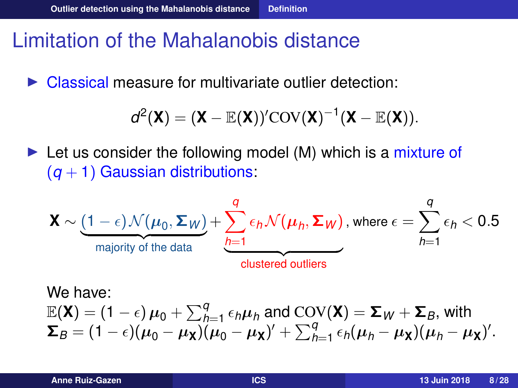## Limitation of the Mahalanobis distance

Classical measure for multivariate outlier detection:

$$
d^2(\mathbf{X}) = (\mathbf{X} - \mathbb{E}(\mathbf{X}))' \mathrm{COV}(\mathbf{X})^{-1} (\mathbf{X} - \mathbb{E}(\mathbf{X})).
$$

 $\triangleright$  Let us consider the following model (M) which is a mixture of  $(q + 1)$  Gaussian distributions:

$$
\mathbf{X} \sim \underbrace{(1-\epsilon)\mathcal{N}(\mu_0, \Sigma_W)}_{\text{majority of the data}} + \underbrace{\sum_{h=1}^{q} \epsilon_h \mathcal{N}(\mu_h, \Sigma_W)}_{\text{clustered outliers}}, \text{ where } \epsilon = \sum_{h=1}^{q} \epsilon_h < 0.5
$$

We have:  $\mathbb{E}(\mathbf{X}) = (1 - \epsilon) \mu_0 + \sum_{h=1}^{q} \epsilon_h \mu_h$  and  $\text{COV}(\mathbf{X}) = \mathbf{\Sigma}_W + \mathbf{\Sigma}_B$ , with  $\Sigma_B = (1 - \epsilon)(\mu_0 - \mu_X)(\mu_0 - \mu_X)' + \sum_{h=1}^q \epsilon_h(\mu_h - \mu_X)(\mu_h - \mu_X)'$ .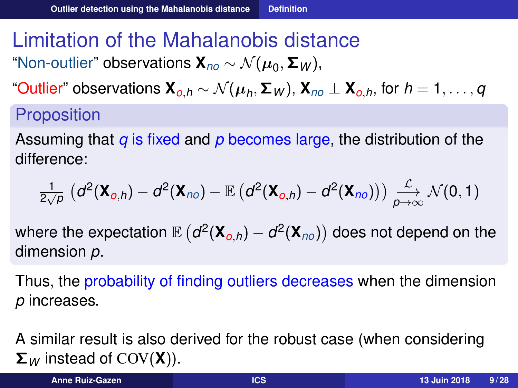# Limitation of the Mahalanobis distance

"Non-outlier" observations **X***no* ∼ N (µ<sup>0</sup> , Σ*<sup>W</sup>* ),

"Outlier" observations **X***o*,*<sup>h</sup>* ∼ N (µ*<sup>h</sup>* , Σ*<sup>W</sup>* ), **X***no* ⊥ **X***o*,*h*, for *h* = 1, . . . , *q*

### **Proposition**

Assuming that *q* is fixed and *p* becomes large, the distribution of the difference:

$$
\frac{1}{2\sqrt{p}}\left(d^2(\mathbf{X}_{0,h})-d^2(\mathbf{X}_{no})-\mathbb{E}\left(d^2(\mathbf{X}_{0,h})-d^2(\mathbf{X}_{no})\right)\right)\underset{p\to\infty}{\overset{\mathcal{L}}{\longrightarrow}}\mathcal{N}(0,1)
$$

where the expectation  $\mathbb{E}\left(d^2(\mathbf{X}_{o,h}) - d^2(\mathbf{X}_{no})\right)$  does not depend on the dimension *p*.

Thus, the probability of finding outliers decreases when the dimension *p* increases.

A similar result is also derived for the robust case (when considering Σ*<sup>W</sup>* instead of COV(**X**)).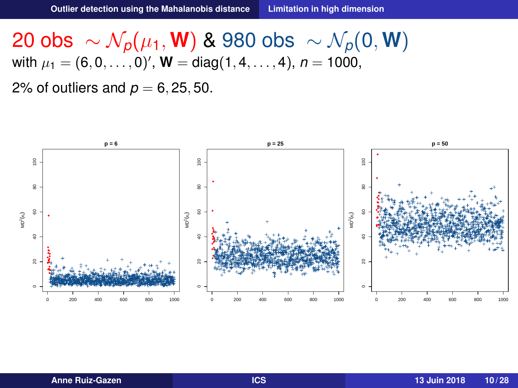<span id="page-9-0"></span>20 obs  $\sim \mathcal{N}_p(\mu_1, \mathbf{W})$  & 980 obs  $\sim \mathcal{N}_p(0, \mathbf{W})$ with  $\mu_1 = (6, 0, \ldots, 0)'$ ,  ${\bf W} = \text{diag}(1, 4, \ldots, 4)$ ,  $n = 1000$ , 2% of outliers and  $p = 6, 25, 50$ .

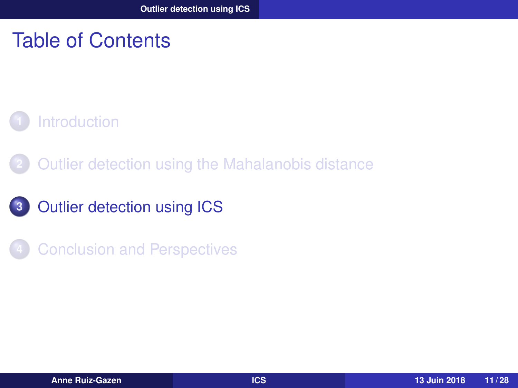## <span id="page-10-0"></span>Table of Contents

### **1** [Introduction](#page-1-0)

- **2** [Outlier detection using the Mahalanobis distance](#page-3-0)
- **3** [Outlier detection using ICS](#page-10-0)
- **4** [Conclusion and Perspectives](#page-26-0)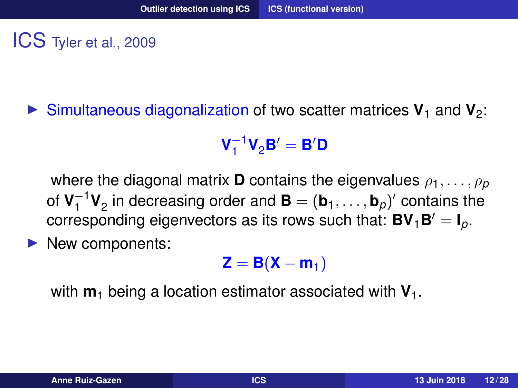<span id="page-11-0"></span>ICS Tyler et al., 2009

 $\triangleright$  Simultaneous diagonalization of two scatter matrices  $V_1$  and  $V_2$ :

$$
\mathbf{V}_1^{-1}\mathbf{V}_2\mathbf{B}'=\mathbf{B}'\mathbf{D}
$$

where the diagonal matrix **D** contains the eigenvalues  $\rho_1, \ldots, \rho_p$ of  $V_1^{-1}$  $\mathbf{I}^{-1}\mathbf{V}_2$  in decreasing order and  $\mathbf{B} = (\mathbf{b}_1, \dots, \mathbf{b}_p)'$  contains the corresponding eigenvectors as its rows such that:  $BV_1B' = I_p$ .

New components:

$$
\mathbf{Z} = \mathbf{B}(\mathbf{X} - \mathbf{m}_1)
$$

with  $m_1$  being a location estimator associated with  $V_1$ .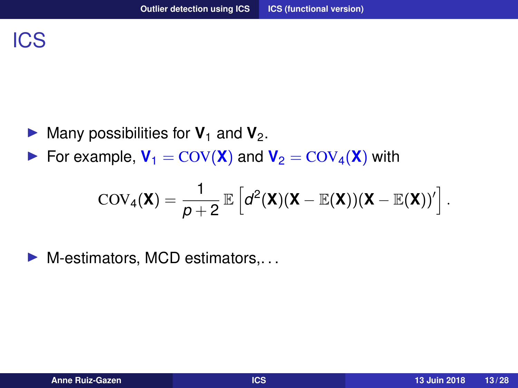- $\blacktriangleright$  Many possibilities for  $V_1$  and  $V_2$ .
- For example,  $V_1 = \text{COV}(\textbf{X})$  and  $V_2 = \text{COV}_4(\textbf{X})$  with

$$
COV_4(\mathbf{X}) = \frac{1}{p+2} \mathbb{E}\left[d^2(\mathbf{X})(\mathbf{X}-\mathbb{E}(\mathbf{X}))(\mathbf{X}-\mathbb{E}(\mathbf{X}))'\right].
$$

 $\blacktriangleright$  M-estimators, MCD estimators,...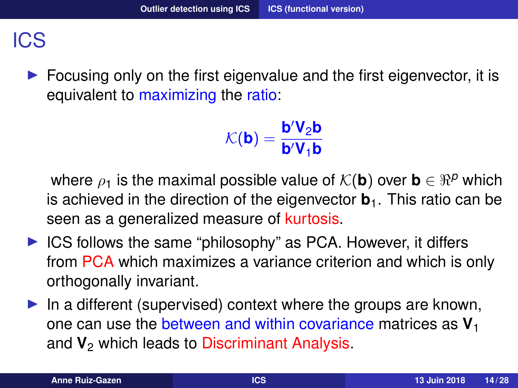### ICS

Focusing only on the first eigenvalue and the first eigenvector, it is equivalent to maximizing the ratio:

$$
\mathcal{K}(\textbf{b}) = \frac{\textbf{b}'\textbf{V}_2\textbf{b}}{\textbf{b}'\textbf{V}_1\textbf{b}}
$$

where  $\rho_1$  is the maximal possible value of  $\mathcal{K}(\mathbf{b})$  over  $\mathbf{b} \in \mathbb{R}^p$  which is achieved in the direction of the eigenvector **. This ratio can be** seen as a generalized measure of kurtosis.

- $\triangleright$  ICS follows the same "philosophy" as PCA. However, it differs from PCA which maximizes a variance criterion and which is only orthogonally invariant.
- $\blacktriangleright$  In a different (supervised) context where the groups are known, one can use the between and within covariance matrices as **V**<sup>1</sup> and  $V_2$  which leads to Discriminant Analysis.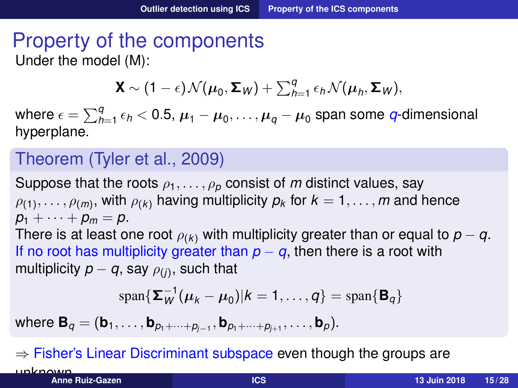### <span id="page-14-0"></span>Property of the components Under the model (M):

$$
\mathbf{X} \sim (1-\epsilon) \mathcal{N}(\boldsymbol{\mu}_0, \boldsymbol{\Sigma}_W) + \sum_{h=1}^q \epsilon_h \mathcal{N}(\boldsymbol{\mu}_h, \boldsymbol{\Sigma}_W),
$$

where  $\epsilon = \sum_{h=1}^q \epsilon_h < 0.5$ ,  $\boldsymbol{\mu}_1 - \boldsymbol{\mu}_0, \ldots, \boldsymbol{\mu}_q - \boldsymbol{\mu}_0$  span some  $q$ -dimensional hyperplane.

#### Theorem (Tyler et al., 2009)

Suppose that the roots  $\rho_1, \ldots, \rho_p$  consist of *m* distinct values, say  $\rho_{(1)},\ldots,\rho_{(m)},$  with  $\rho_{(k)}$  having multiplicity  $\rho_k$  for  $k=1,\ldots,m$  and hence  $p_1 + \cdots + p_m = p$ . There is at least one root  $\rho_{(k)}$  with multiplicity greater than or equal to  $p - q$ . If no root has multiplicity greater than  $p - q$ , then there is a root with multiplicity  $p-q$ , say  $\rho_{(j)}$ , such that

$$
\mathrm{span}\{\mathbf{\Sigma}_{W}^{-1}(\boldsymbol{\mu}_{k}-\boldsymbol{\mu}_{0})|k=1,\ldots,q\}=\mathrm{span}\{\mathbf{B}_{q}\}
$$

 ${\sf where} \ {\bf B}_q = ({\bf b}_1, \ldots, {\bf b}_{p_1+\cdots+p_{j-1}}, {\bf b}_{p_1+\cdots+p_{j+1}}, \ldots, {\bf b}_p).$ 

 $\Rightarrow$  Fisher's Linear Discriminant subspace even though the groups are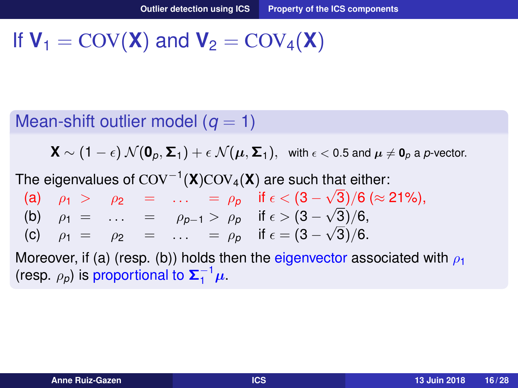## If  $V_1 = \text{COV}(\mathbf{X})$  and  $V_2 = \text{COV}_4(\mathbf{X})$

#### Mean-shift outlier model  $(q = 1)$

**X** ∼ (1 −  $\epsilon$ )  $\mathcal{N}(\mathbf{0}_p, \mathbf{\Sigma}_1) + \epsilon \mathcal{N}(\boldsymbol{\mu}, \mathbf{\Sigma}_1)$ , with  $\epsilon$  < 0.5 and  $\boldsymbol{\mu} \neq \mathbf{0}_p$  a p-vector.

The eigenvalues of COV<sup>-1</sup>(X)COV<sub>4</sub>(X) are such that either:

|  |  | (a) $\rho_1$ > $\rho_2$ =  = $\rho_p$ if $\epsilon < (3 - \sqrt{3})/6 \approx 21\%$ , |
|--|--|---------------------------------------------------------------------------------------|
|  |  | (b) $\rho_1 = \ldots = \rho_{p-1} > \rho_p$ if $\epsilon > (3 - \sqrt{3})/6$ ,        |
|  |  | (c) $\rho_1 = \rho_2 = \dots = \rho_p$ if $\epsilon = (3 - \sqrt{3})/6$ .             |

Moreover, if (a) (resp. (b)) holds then the eigenvector associated with  $\rho_1$ (resp.  $\rho_p$ ) is proportional to  $\Sigma_1^{-1}\mu$ .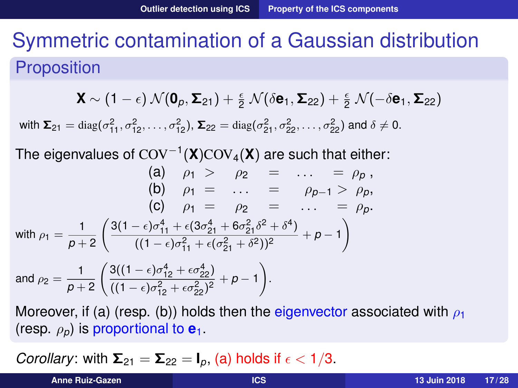# Symmetric contamination of a Gaussian distribution **Proposition**

$$
\mathbf{X} \sim (1-\epsilon) \mathcal{N}(\mathbf{0}_{p}, \boldsymbol{\Sigma}_{21}) + \frac{\epsilon}{2} \mathcal{N}(\delta \mathbf{e}_1, \boldsymbol{\Sigma}_{22}) + \frac{\epsilon}{2} \mathcal{N}(-\delta \mathbf{e}_1, \boldsymbol{\Sigma}_{22})
$$

with  $\Sigma_{21} = \text{diag}(\sigma_{11}^2, \sigma_{12}^2, \dots, \sigma_{12}^2)$ ,  $\Sigma_{22} = \text{diag}(\sigma_{21}^2, \sigma_{22}^2, \dots, \sigma_{22}^2)$  and  $\delta \neq 0$ .

The eigenvalues of COV<sup>−</sup><sup>1</sup> (**X**)COV4(**X**) are such that either:

(a) 
$$
\rho_1 > \rho_2 = \dots = \rho_p
$$
,  
\n(b)  $\rho_1 = \dots = \rho_{p-1} > \rho_p$ ,  
\n(c)  $\rho_1 = \rho_2 = \dots = \rho_p$ .  
\nwith  $\rho_1 = \frac{1}{p+2} \left( \frac{3(1-\epsilon)\sigma_{11}^4 + \epsilon(3\sigma_{21}^4 + 6\sigma_{21}^2\delta^2 + \delta^4)}{((1-\epsilon)\sigma_{11}^2 + \epsilon(\sigma_{21}^2 + \delta^2))^2} + p - 1 \right)$   
\nand  $\rho_2 = \frac{1}{p+2} \left( \frac{3((1-\epsilon)\sigma_{12}^4 + \epsilon\sigma_{22}^4)}{((1-\epsilon)\sigma_{12}^2 + \epsilon\sigma_{22}^2)^2} + p - 1 \right)$ .

Moreover, if (a) (resp. (b)) holds then the eigenvector associated with  $\rho_1$ (resp.  $\rho_p$ ) is proportional to  $e_1$ .

*Corollary*: with  $\Sigma_{21} = \Sigma_{22} = I_p$ , (a) holds if  $\epsilon < 1/3$ .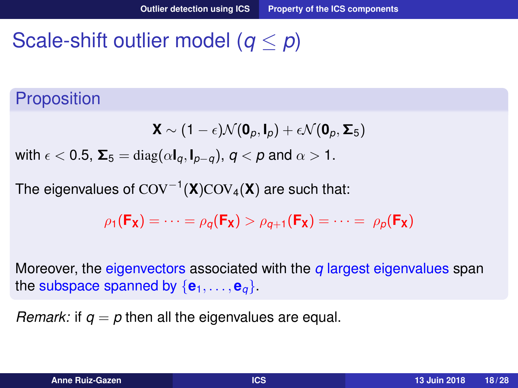# Scale-shift outlier model (*q* ≤ *p*)

### **Proposition**

$$
\mathbf{X} \sim (1-\epsilon)\mathcal{N}(\mathbf{0}_{p}, \mathbf{I}_{p}) + \epsilon \mathcal{N}(\mathbf{0}_{p}, \boldsymbol{\Sigma}_{5})
$$

with  $\epsilon$  < 0.5,  $\Sigma_5 = \text{diag}(\alpha I_\alpha, I_{\alpha-\alpha})$ ,  $q < p$  and  $\alpha > 1$ .

The eigenvalues of COV<sup>−</sup><sup>1</sup> (**X**)COV4(**X**) are such that:

$$
\rho_1(\mathbf{F}_\mathbf{X}) = \cdots = \rho_q(\mathbf{F}_\mathbf{X}) > \rho_{q+1}(\mathbf{F}_\mathbf{X}) = \cdots = \rho_p(\mathbf{F}_\mathbf{X})
$$

Moreover, the eigenvectors associated with the *q* largest eigenvalues span the subspace spanned by  $\{e_1, \ldots, e_q\}$ .

*Remark:* if  $q = p$  then all the eigenvalues are equal.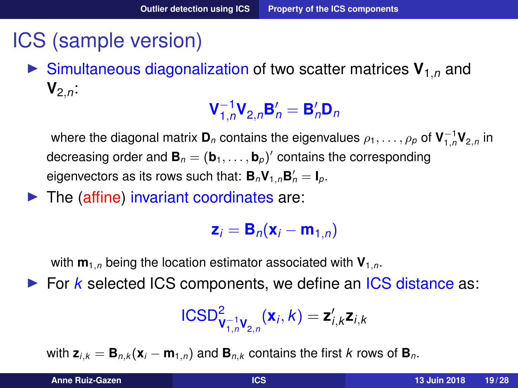## ICS (sample version)

 $\triangleright$  Simultaneous diagonalization of two scatter matrices  $V_{1,n}$  and  $V_{2n}$ :

> ${\sf V}_{\rm 1.6}^{-1}$  $\mathbf{B}_{1,n}^{-1}\mathbf{V}_{2,n}\mathbf{B}_{n}' = \mathbf{B}_{n}'\mathbf{D}_{n}$

where the diagonal matrix  $\mathbf{D}_n$  contains the eigenvalues  $\rho_1,\ldots,\rho_p$  of  $\mathbf{V}_{1,n}^{-1}\mathbf{V}_{2,n}$  in decreasing order and  $\textbf{B}_n = (\textbf{b}_1, \ldots, \textbf{b}_p)'$  contains the corresponding eigenvectors as its rows such that:  $\mathbf{B}_n \mathbf{V}_{1,n} \mathbf{B}'_n = \mathbf{I}_p$ .

 $\blacktriangleright$  The (affine) invariant coordinates are:

 $z_i = B_n(x_i - m_{1,n})$ 

with  $\mathbf{m}_{1,n}$  being the location estimator associated with  $\mathbf{V}_{1,n}$ .

▶ For *k* selected ICS components, we define an ICS distance as:

$$
\text{ICSD}^2_{\mathbf{V}_{1,n}^{-1}\mathbf{V}_{2,n}}(\mathbf{x}_i,k)=\mathbf{z}'_{i,k}\mathbf{z}_{i,k}
$$

with  $z_{i,k} = B_{n,k}(x_i - m_{1,n})$  and  $B_{n,k}$  contains the first *k* rows of  $B_n$ .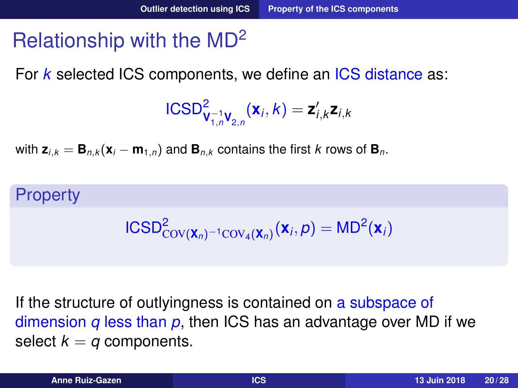# Relationship with the MD<sup>2</sup>

For *k* selected ICS components, we define an ICS distance as:

$$
\text{ICSD}^2_{\mathbf{V}_{1,n}^{-1}\mathbf{V}_{2,n}}(\mathbf{x}_i,k)=\mathbf{z}'_{i,k}\mathbf{z}_{i,k}
$$

with  $z_{i,k} = B_{n,k}(x_i - m_{1,n})$  and  $B_{n,k}$  contains the first *k* rows of  $B_n$ .

#### **Property**

$$
\text{ICSD}^2_{\text{COV}(\mathbf{X}_n)^{-1}\text{COV}_4(\mathbf{X}_n)}(\mathbf{X}_i, p) = \text{MD}^2(\mathbf{X}_i)
$$

If the structure of outlyingness is contained on a subspace of dimension *q* less than *p*, then ICS has an advantage over MD if we select  $k = q$  components.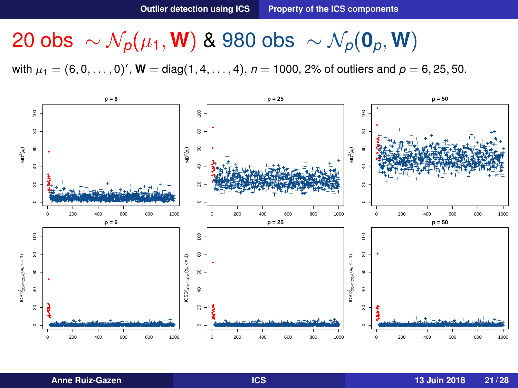# 20 obs  $\sim \mathcal{N}_p(\mu_1, \mathbf{W})$  & 980 obs  $\sim \mathcal{N}_p(\mathbf{0}_p, \mathbf{W})$

with  $\mu_1 = (6, 0, \ldots, 0)'$ ,  $W = diag(1, 4, \ldots, 4)$ ,  $n = 1000$ , 2% of outliers and  $p = 6, 25, 50$ .

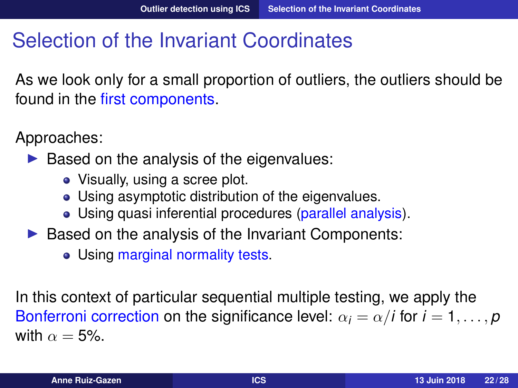# <span id="page-21-0"></span>Selection of the Invariant Coordinates

As we look only for a small proportion of outliers, the outliers should be found in the first components.

Approaches:

- $\triangleright$  Based on the analysis of the eigenvalues:
	- Visually, using a scree plot.
	- Using asymptotic distribution of the eigenvalues.
	- Using quasi inferential procedures (parallel analysis).
- $\triangleright$  Based on the analysis of the Invariant Components:
	- Using marginal normality tests.

In this context of particular sequential multiple testing, we apply the Bonferroni correction on the significance level:  $\alpha_i = \alpha/i$  for  $i = 1, \ldots, p$ with  $\alpha = 5\%$ .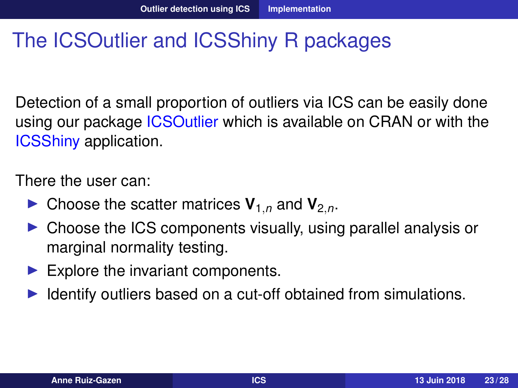## <span id="page-22-0"></span>The ICSOutlier and ICSShiny R packages

Detection of a small proportion of outliers via ICS can be easily done using our package **ICSOutlier** which is available on CRAN or with the ICSShiny application.

There the user can:

- $\blacktriangleright$  Choose the scatter matrices  $V_{1,n}$  and  $V_{2,n}$ .
- $\triangleright$  Choose the ICS components visually, using parallel analysis or marginal normality testing.
- $\blacktriangleright$  Explore the invariant components.
- I Identify outliers based on a cut-off obtained from simulations.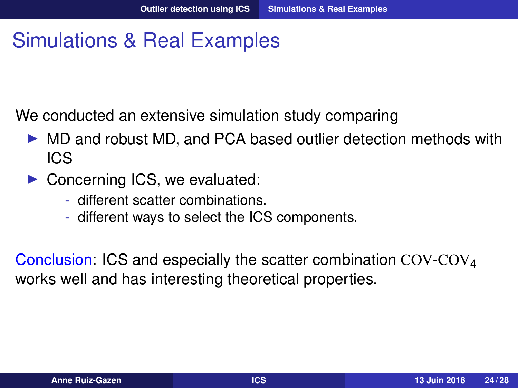## <span id="page-23-0"></span>Simulations & Real Examples

We conducted an extensive simulation study comparing

- I MD and robust MD, and PCA based outlier detection methods with ICS
- $\triangleright$  Concerning ICS, we evaluated:
	- different scatter combinations.
	- different ways to select the ICS components.

Conclusion: ICS and especially the scatter combination  $COV<sub>4</sub>$ works well and has interesting theoretical properties.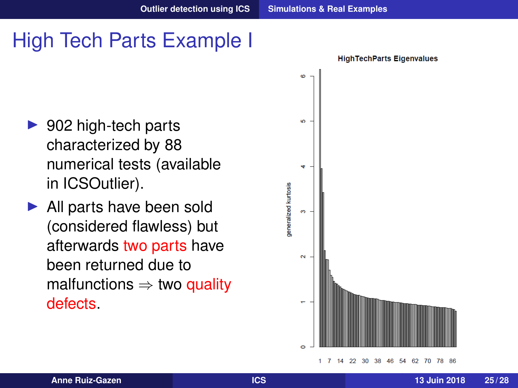# High Tech Parts Example I

- $\triangleright$  902 high-tech parts characterized by 88 numerical tests (available in ICSOutlier).
- $\blacktriangleright$  All parts have been sold (considered flawless) but afterwards two parts have been returned due to malfunctions  $\Rightarrow$  two quality defects.

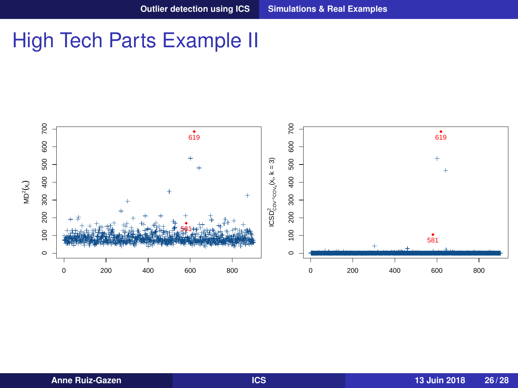### High Tech Parts Example II

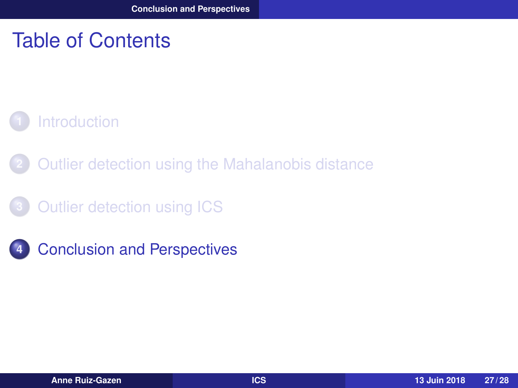### <span id="page-26-0"></span>Table of Contents

### **1** [Introduction](#page-1-0)

- **2** [Outlier detection using the Mahalanobis distance](#page-3-0)
- **3** [Outlier detection using ICS](#page-10-0)
- **4** [Conclusion and Perspectives](#page-26-0)